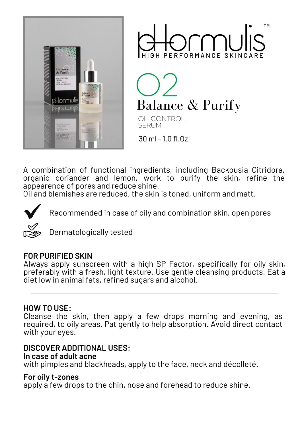



**Balance & Purify** 

OIL CONTROL SERUM

30 ml - 1.0 fl.Oz.

A combination of functional ingredients, including Backousia Citridora, organic coriander and lemon, work to purify the skin, refine the appearence of pores and reduce shine.

Oil and blemishes are reduced, the skin is toned, uniform and matt.



Recommended in case of oily and combination skin, open pores

Dermatologically tested

## **FOR PURIFIED SKIN**

Always apply sunscreen with a high SP Factor, specifically for oily skin, preferably with a fresh, light texture. Use gentle cleansing products. Eat a diet low in animal fats, refined sugars and alcohol.

## **HOW TO USE:**

Cleanse the skin, then apply a few drops morning and evening, as required, to oily areas. Pat gently to help absorption. Avoid direct contact with your eyes.

## **DISCOVER ADDITIONAL USES:**

#### **In case of adult acne**

with pimples and blackheads, apply to the face, neck and décolleté.

#### **For oily t-zones**

apply a few drops to the chin, nose and forehead to reduce shine.